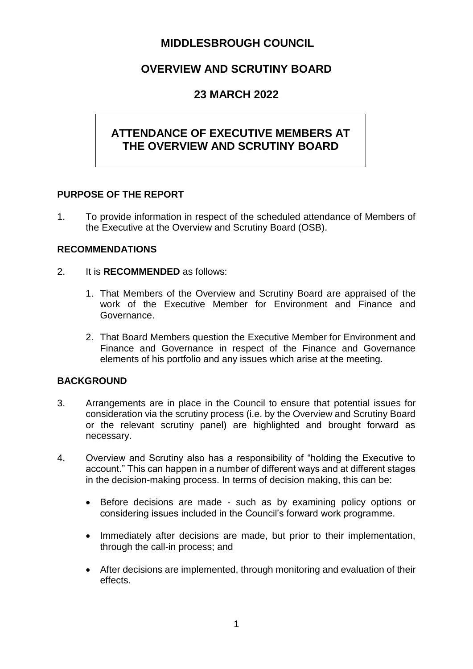# **MIDDLESBROUGH COUNCIL**

# **OVERVIEW AND SCRUTINY BOARD**

## **23 MARCH 2022**

# **ATTENDANCE OF EXECUTIVE MEMBERS AT THE OVERVIEW AND SCRUTINY BOARD**

#### **PURPOSE OF THE REPORT**

1. To provide information in respect of the scheduled attendance of Members of the Executive at the Overview and Scrutiny Board (OSB).

## **RECOMMENDATIONS**

- 2. It is **RECOMMENDED** as follows:
	- 1. That Members of the Overview and Scrutiny Board are appraised of the work of the Executive Member for Environment and Finance and Governance.
	- 2. That Board Members question the Executive Member for Environment and Finance and Governance in respect of the Finance and Governance elements of his portfolio and any issues which arise at the meeting.

## **BACKGROUND**

- 3. Arrangements are in place in the Council to ensure that potential issues for consideration via the scrutiny process (i.e. by the Overview and Scrutiny Board or the relevant scrutiny panel) are highlighted and brought forward as necessary.
- 4. Overview and Scrutiny also has a responsibility of "holding the Executive to account." This can happen in a number of different ways and at different stages in the decision-making process. In terms of decision making, this can be:
	- Before decisions are made such as by examining policy options or considering issues included in the Council's forward work programme.
	- Immediately after decisions are made, but prior to their implementation, through the call-in process; and
	- After decisions are implemented, through monitoring and evaluation of their effects.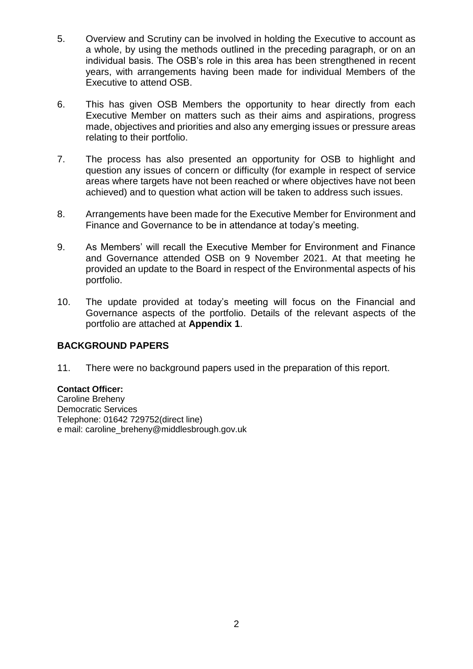- 5. Overview and Scrutiny can be involved in holding the Executive to account as a whole, by using the methods outlined in the preceding paragraph, or on an individual basis. The OSB's role in this area has been strengthened in recent years, with arrangements having been made for individual Members of the Executive to attend OSB.
- 6. This has given OSB Members the opportunity to hear directly from each Executive Member on matters such as their aims and aspirations, progress made, objectives and priorities and also any emerging issues or pressure areas relating to their portfolio.
- 7. The process has also presented an opportunity for OSB to highlight and question any issues of concern or difficulty (for example in respect of service areas where targets have not been reached or where objectives have not been achieved) and to question what action will be taken to address such issues.
- 8. Arrangements have been made for the Executive Member for Environment and Finance and Governance to be in attendance at today's meeting.
- 9. As Members' will recall the Executive Member for Environment and Finance and Governance attended OSB on 9 November 2021. At that meeting he provided an update to the Board in respect of the Environmental aspects of his portfolio.
- 10. The update provided at today's meeting will focus on the Financial and Governance aspects of the portfolio. Details of the relevant aspects of the portfolio are attached at **Appendix 1**.

## **BACKGROUND PAPERS**

11. There were no background papers used in the preparation of this report.

## **Contact Officer:**

Caroline Breheny Democratic Services Telephone: 01642 729752(direct line) e mail: caroline\_breheny@middlesbrough.gov.uk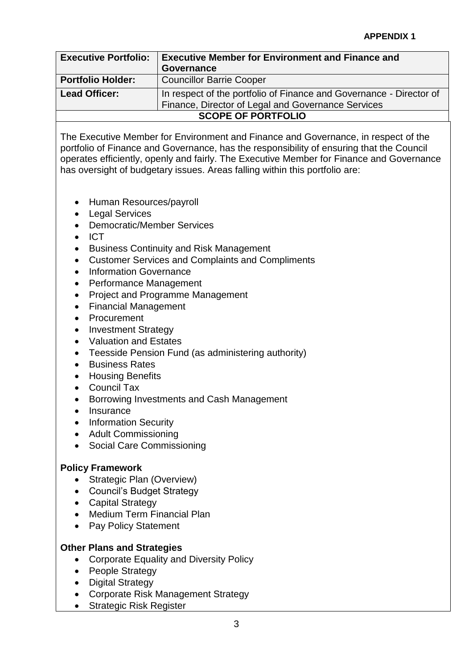| <b>Executive Portfolio:</b> | <b>Executive Member for Environment and Finance and</b>             |
|-----------------------------|---------------------------------------------------------------------|
|                             | Governance                                                          |
| <b>Portfolio Holder:</b>    | <b>Councillor Barrie Cooper</b>                                     |
| <b>Lead Officer:</b>        | In respect of the portfolio of Finance and Governance - Director of |
|                             | Finance, Director of Legal and Governance Services                  |
| <b>SCOPE OF PORTFOLIO</b>   |                                                                     |

The Executive Member for Environment and Finance and Governance, in respect of the portfolio of Finance and Governance, has the responsibility of ensuring that the Council operates efficiently, openly and fairly. The Executive Member for Finance and Governance has oversight of budgetary issues. Areas falling within this portfolio are:

- Human Resources/payroll
- Legal Services
- Democratic/Member Services
- $\bullet$  ICT
- Business Continuity and Risk Management
- Customer Services and Complaints and Compliments
- Information Governance
- Performance Management
- Project and Programme Management
- Financial Management
- Procurement
- Investment Strategy
- Valuation and Estates
- Teesside Pension Fund (as administering authority)
- **•** Business Rates
- Housing Benefits
- Council Tax
- Borrowing Investments and Cash Management
- Insurance
- Information Security
- Adult Commissioning
- Social Care Commissioning

## **Policy Framework**

- Strategic Plan (Overview)
- Council's Budget Strategy
- Capital Strategy
- Medium Term Financial Plan
- Pay Policy Statement

## **Other Plans and Strategies**

- Corporate Equality and Diversity Policy
- People Strategy
- Digital Strategy
- Corporate Risk Management Strategy
- Strategic Risk Register